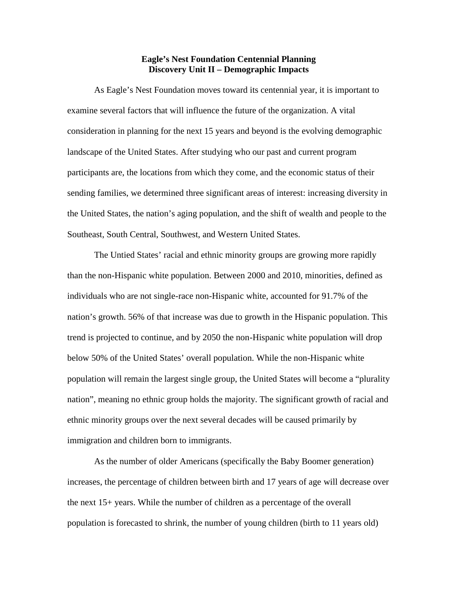## **Eagle's Nest Foundation Centennial Planning Discovery Unit II – Demographic Impacts**

As Eagle's Nest Foundation moves toward its centennial year, it is important to examine several factors that will influence the future of the organization. A vital consideration in planning for the next 15 years and beyond is the evolving demographic landscape of the United States. After studying who our past and current program participants are, the locations from which they come, and the economic status of their sending families, we determined three significant areas of interest: increasing diversity in the United States, the nation's aging population, and the shift of wealth and people to the Southeast, South Central, Southwest, and Western United States.

The Untied States' racial and ethnic minority groups are growing more rapidly than the non-Hispanic white population. Between 2000 and 2010, minorities, defined as individuals who are not single-race non-Hispanic white, accounted for 91.7% of the nation's growth. 56% of that increase was due to growth in the Hispanic population. This trend is projected to continue, and by 2050 the non-Hispanic white population will drop below 50% of the United States' overall population. While the non-Hispanic white population will remain the largest single group, the United States will become a "plurality nation", meaning no ethnic group holds the majority. The significant growth of racial and ethnic minority groups over the next several decades will be caused primarily by immigration and children born to immigrants.

As the number of older Americans (specifically the Baby Boomer generation) increases, the percentage of children between birth and 17 years of age will decrease over the next 15+ years. While the number of children as a percentage of the overall population is forecasted to shrink, the number of young children (birth to 11 years old)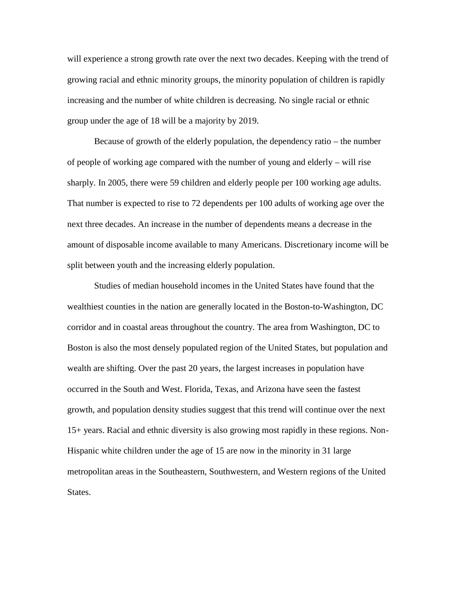will experience a strong growth rate over the next two decades. Keeping with the trend of growing racial and ethnic minority groups, the minority population of children is rapidly increasing and the number of white children is decreasing. No single racial or ethnic group under the age of 18 will be a majority by 2019.

Because of growth of the elderly population, the dependency ratio – the number of people of working age compared with the number of young and elderly – will rise sharply. In 2005, there were 59 children and elderly people per 100 working age adults. That number is expected to rise to 72 dependents per 100 adults of working age over the next three decades. An increase in the number of dependents means a decrease in the amount of disposable income available to many Americans. Discretionary income will be split between youth and the increasing elderly population.

Studies of median household incomes in the United States have found that the wealthiest counties in the nation are generally located in the Boston-to-Washington, DC corridor and in coastal areas throughout the country. The area from Washington, DC to Boston is also the most densely populated region of the United States, but population and wealth are shifting. Over the past 20 years, the largest increases in population have occurred in the South and West. Florida, Texas, and Arizona have seen the fastest growth, and population density studies suggest that this trend will continue over the next 15+ years. Racial and ethnic diversity is also growing most rapidly in these regions. Non- Hispanic white children under the age of 15 are now in the minority in 31 large metropolitan areas in the Southeastern, Southwestern, and Western regions of the United States.